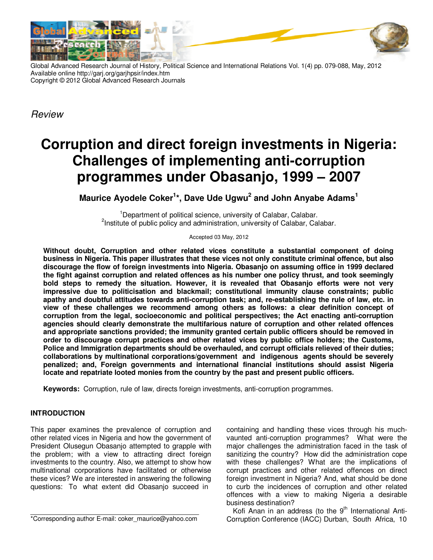

Global Advanced Research Journal of History, Political Science and International Relations Vol. 1(4) pp. 079-088, May, 2012 Available online http://garj.org/garjhpsir/index.htm Copyright © 2012 Global Advanced Research Journals

*Review* 

# **Corruption and direct foreign investments in Nigeria: Challenges of implementing anti-corruption programmes under Obasanjo, 1999 – 2007**

**Maurice Ayodele Coker<sup>1</sup> \*, Dave Ude Ugwu<sup>2</sup> and John Anyabe Adams<sup>1</sup>**

<sup>1</sup> Department of political science, university of Calabar, Calabar, <sup>2</sup>Institute of public policy and administration, university of Calabar, Calabar.

Accepted 03 May, 2012

**Without doubt, Corruption and other related vices constitute a substantial component of doing business in Nigeria. This paper illustrates that these vices not only constitute criminal offence, but also discourage the flow of foreign investments into Nigeria. Obasanjo on assuming office in 1999 declared the fight against corruption and related offences as his number one policy thrust, and took seemingly bold steps to remedy the situation. However, it is revealed that Obasanjo efforts were not very impressive due to politicisation and blackmail; constitutional immunity clause constraints; public apathy and doubtful attitudes towards anti-corruption task; and, re-establishing the rule of law, etc. in view of these challenges we recommend among others as follows: a clear definition concept of corruption from the legal, socioeconomic and political perspectives; the Act enacting anti-corruption agencies should clearly demonstrate the multifarious nature of corruption and other related offences and appropriate sanctions provided; the immunity granted certain public officers should be removed in order to discourage corrupt practices and other related vices by public office holders; the Customs, Police and Immigration departments should be overhauled, and corrupt officials relieved of their duties; collaborations by multinational corporations/government and indigenous agents should be severely penalized; and, Foreign governments and international financial institutions should assist Nigeria locate and repatriate looted monies from the country by the past and present public officers.** 

**Keywords:** Corruption, rule of law, directs foreign investments, anti-corruption programmes.

### **INTRODUCTION**

This paper examines the prevalence of corruption and other related vices in Nigeria and how the government of President Olusegun Obasanio attempted to grapple with the problem; with a view to attracting direct foreign investments to the country. Also, we attempt to show how multinational corporations have facilitated or otherwise these vices? We are interested in answering the following questions: To what extent did Obasanjo succeed in

\*Corresponding author E-mail: coker\_maurice@yahoo.com

containing and handling these vices through his muchvaunted anti-corruption programmes? What were the major challenges the administration faced in the task of sanitizing the country? How did the administration cope with these challenges? What are the implications of corrupt practices and other related offences on direct foreign investment in Nigeria? And, what should be done to curb the incidences of corruption and other related offences with a view to making Nigeria a desirable business destination?

Kofi Anan in an address (to the  $9<sup>th</sup>$  International Anti-Corruption Conference (IACC) Durban, South Africa, 10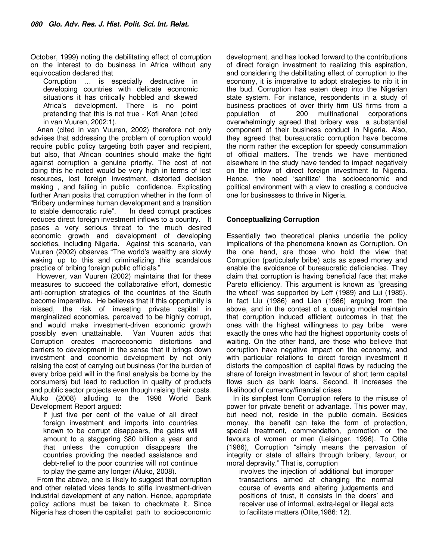October, 1999) noting the debilitating effect of corruption on the interest to do business in Africa without any equivocation declared that

Corruption … is especially destructive in developing countries with delicate economic situations it has critically hobbled and skewed Africa's development. There is no point pretending that this is not true - Kofi Anan (cited in van Vuuren, 2002:1).

Anan (cited in van Vuuren, 2002) therefore not only advises that addressing the problem of corruption would require public policy targeting both payer and recipient, but also, that African countries should make the fight against corruption a genuine priority. The cost of not doing this he noted would be very high in terms of lost resources, lost foreign investment, distorted decision making , and failing in public confidence. Explicating further Anan posits that corruption whether in the form of "Bribery undermines human development and a transition to stable democratic rule". In deed corrupt practices reduces direct foreign investment inflows to a country. It poses a very serious threat to the much desired economic growth and development of developing societies, including Nigeria. Against this scenario, van Vuuren (2002) observes "The world's wealthy are slowly waking up to this and criminalizing this scandalous practice of bribing foreign public officials."

However, van Vuuren (2002) maintains that for these measures to succeed the collaborative effort, domestic anti-corruption strategies of the countries of the South become imperative. He believes that if this opportunity is missed, the risk of investing private capital in marginalized economies, perceived to be highly corrupt, and would make investment-driven economic growth possibly even unattainable. Van Vuuren adds that Corruption creates macroeconomic distortions and barriers to development in the sense that it brings down investment and economic development by not only raising the cost of carrying out business (for the burden of every bribe paid will in the final analysis be borne by the consumers) but lead to reduction in quality of products and public sector projects even though raising their costs. Aluko (2008) alluding to the 1998 World Bank Development Report argued:

If just five per cent of the value of all direct foreign investment and imports into countries known to be corrupt disappears, the gains will amount to a staggering \$80 billion a year and that unless the corruption disappears the countries providing the needed assistance and debt-relief to the poor countries will not continue to play the game any longer (Aluko, 2008).

From the above, one is likely to suggest that corruption and other related vices tends to stifle investment-driven industrial development of any nation. Hence, appropriate policy actions must be taken to checkmate it. Since Nigeria has chosen the capitalist path to socioeconomic

development, and has looked forward to the contributions of direct foreign investment to realizing this aspiration, and considering the debilitating effect of corruption to the economy, it is imperative to adopt strategies to nib it in the bud. Corruption has eaten deep into the Nigerian state system. For instance, respondents in a study of business practices of over thirty firm US firms from a population of 200 multinational corporations overwhelmingly agreed that bribery was a substantial component of their business conduct in Nigeria. Also, they agreed that bureaucratic corruption have become the norm rather the exception for speedy consummation of official matters. The trends we have mentioned elsewhere in the study have tended to impact negatively on the inflow of direct foreign investment to Nigeria. Hence, the need 'sanitize' the socioeconomic and political environment with a view to creating a conducive one for businesses to thrive in Nigeria.

### **Conceptualizing Corruption**

Essentially two theoretical planks underlie the policy implications of the phenomena known as Corruption. On the one hand, are those who hold the view that Corruption (particularly bribe) acts as speed money and enable the avoidance of bureaucratic deficiencies. They claim that corruption is having beneficial face that make Pareto efficiency. This argument is known as "greasing the wheel" was supported by Leff (1989) and Lui (1985). In fact Liu (1986) and Lien (1986) arguing from the above, and in the contest of a queuing model maintain that corruption induced efficient outcomes in that the ones with the highest willingness to pay bribe were exactly the ones who had the highest opportunity costs of waiting. On the other hand, are those who believe that corruption have negative impact on the economy, and with particular relations to direct foreign investment it distorts the composition of capital flows by reducing the share of foreign investment in favour of short term capital flows such as bank loans. Second, it increases the likelihood of currency/financial crises.

In its simplest form Corruption refers to the misuse of power for private benefit or advantage. This power may, but need not, reside in the public domain. Besides money, the benefit can take the form of protection, special treatment, commendation, promotion or the favours of women or men (Leisinger, 1996). To Otite (1986), Corruption "simply means the pervasion of integrity or state of affairs through bribery, favour, or moral depravity." That is, corruption

involves the injection of additional but improper transactions aimed at changing the normal course of events and altering judgements and positions of trust, it consists in the doers' and receiver use of informal, extra-legal or illegal acts to facilitate matters (Otite,1986: 12).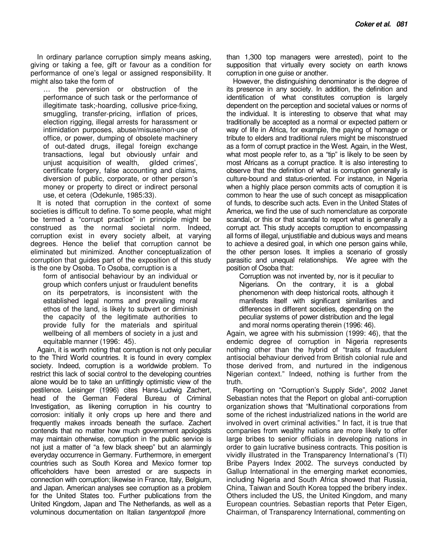In ordinary parlance corruption simply means asking, giving or taking a fee, gift or favour as a condition for performance of one's legal or assigned responsibility. It might also take the form of

… the perversion or obstruction of the performance of such task or the performance of illegitimate task;-hoarding, collusive price-fixing, smuggling, transfer-pricing, inflation of prices, election rigging, illegal arrests for harassment or intimidation purposes, abuse/misuse/non-use of office, or power, dumping of obsolete machinery of out-dated drugs, illegal foreign exchange transactions, legal but obviously unfair and unjust acquisition of wealth, gilded crimes', certificate forgery, false accounting and claims, diversion of public, corporate, or other person's money or property to direct or indirect personal use, et cetera (Odekunle, 1985:33).

It is noted that corruption in the context of some societies is difficult to define. To some people, what might be termed a "corrupt practice" in principle might be construed as the normal societal norm. Indeed, corruption exist in every society albeit, at varying degrees. Hence the belief that corruption cannot be eliminated but minimized. Another conceptualization of corruption that guides part of the exposition of this study is the one by Osoba. To Osoba, corruption is a

form of antisocial behaviour by an individual or group which confers unjust or fraudulent benefits on its perpetrators, is inconsistent with the established legal norms and prevailing moral ethos of the land, is likely to subvert or diminish the capacity of the legitimate authorities to provide fully for the materials and spiritual wellbeing of all members of society in a just and equitable manner (1996: 45).

Again, it is worth noting that corruption is not only peculiar to the Third World countries. It is found in every complex society. Indeed, corruption is a worldwide problem. To restrict this lack of social control to the developing countries alone would be to take an unfittingly optimistic view of the pestilence. Leisinger (1996) cites Hans-Ludwig Zachert, head of the German Federal Bureau of Criminal Investigation, as likening corruption in his country to corrosion: initially it only crops up here and there and frequently makes inroads beneath the surface. Zachert contends that no matter how much government apologists may maintain otherwise, corruption in the public service is not just a matter of "a few black sheep" but an alarmingly everyday occurrence in Germany. Furthermore, in emergent countries such as South Korea and Mexico former top officeholders have been arrested or are suspects in connection with corruption; likewise in France, Italy, Belgium, and Japan. American analyses see corruption as a problem for the United States too. Further publications from the United Kingdom, Japan and The Netherlands, as well as a voluminous documentation on Italian *tangentopoli (*more

than 1,300 top managers were arrested), point to the supposition that virtually every society on earth knows corruption in one guise or another.

However, the distinguishing denominator is the degree of its presence in any society. In addition, the definition and identification of what constitutes corruption is largely dependent on the perception and societal values or norms of the individual. It is interesting to observe that what may traditionally be accepted as a normal or expected pattern or way of life in Africa, for example, the paying of homage or tribute to elders and traditional rulers might be misconstrued as a form of corrupt practice in the West. Again, in the West, what most people refer to, as a "tip" is likely to be seen by most Africans as a corrupt practice. It is also interesting to observe that the definition of what is corruption generally is culture-bound and status-oriented. For instance, in Nigeria when a highly place person commits acts of corruption it is common to hear the use of such concept as misapplication of funds, to describe such acts. Even in the United States of America, we find the use of such nomenclature as corporate scandal, or this or that scandal to report what is generally a corrupt act. This study accepts corruption to encompassing all forms of illegal, unjustifiable and dubious ways and means to achieve a desired goal, in which one person gains while, the other person loses. It implies a scenario of grossly parasitic and unequal relationships. We agree with the position of Osoba that:

Corruption was not invented by, nor is it peculiar to Nigerians. On the contrary, it is a global phenomenon with deep historical roots, although it manifests itself with significant similarities and differences in different societies, depending on the peculiar systems of power distribution and the legal and moral norms operating therein (1996: 46).

Again, we agree with his submission (1999: 46), that the endemic degree of corruption in Nigeria represents nothing other than the hybrid of "traits of fraudulent antisocial behaviour derived from British colonial rule and those derived from, and nurtured in the indigenous Nigerian context." Indeed, nothing is further from the truth.

Reporting on "Corruption's Supply Side", 2002 Janet Sebastian notes that the Report on global anti-corruption organization shows that "Multinational corporations from some of the richest industrialized nations in the world are involved in overt criminal activities." In fact, it is true that companies from wealthy nations are more likely to offer large bribes to senior officials in developing nations in order to gain lucrative business contracts. This position is vividly illustrated in the Transparency International's (TI) Bribe Payers Index 2002. The surveys conducted by Gallup International in the emerging market economies, including Nigeria and South Africa showed that Russia, China, Taiwan and South Korea topped the bribery index. Others included the US, the United Kingdom, and many European countries. Sebastian reports that Peter Eigen, Chairman, of Transparency International, commenting on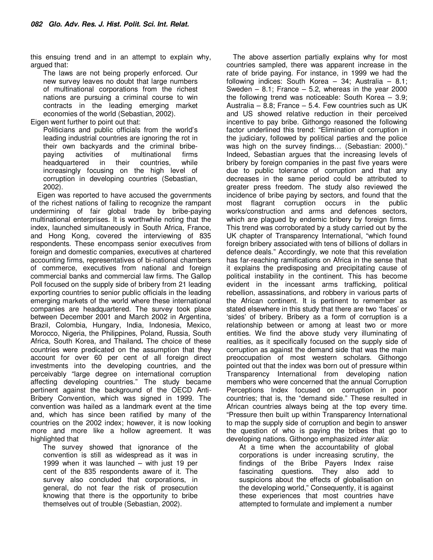this ensuing trend and in an attempt to explain why, argued that:

The laws are not being properly enforced. Our new survey leaves no doubt that large numbers of multinational corporations from the richest nations are pursuing a criminal course to win contracts in the leading emerging market economies of the world (Sebastian, 2002).

Eigen went further to point out that:

Politicians and public officials from the world's leading industrial countries are ignoring the rot in their own backyards and the criminal bribepaying activities of multinational firms headquartered in their countries, while increasingly focusing on the high level of corruption in developing countries (Sebastian, 2002).

Eigen was reported to have accused the governments of the richest nations of failing to recognize the rampant undermining of fair global trade by bribe-paying multinational enterprises. It is worthwhile noting that the index, launched simultaneously in South Africa, France, and Hong Kong, covered the interviewing of 835 respondents. These encompass senior executives from foreign and domestic companies, executives at chartered accounting firms, representatives of bi-national chambers of commerce, executives from national and foreign commercial banks and commercial law firms. The Gallop Poll focused on the supply side of bribery from 21 leading exporting countries to senior public officials in the leading emerging markets of the world where these international companies are headquartered. The survey took place between December 2001 and March 2002 in Argentina, Brazil, Colombia, Hungary, India, Indonesia, Mexico, Morocco, Nigeria, the Philippines, Poland, Russia, South Africa, South Korea, and Thailand**.** The choice of these countries were predicated on the assumption that they account for over 60 per cent of all foreign direct investments into the developing countries, and the perceivably "large degree on international corruption affecting developing countries." The study became pertinent against the background of the OECD Anti-Bribery Convention, which was signed in 1999. The convention was hailed as a landmark event at the time and, which has since been ratified by many of the countries on the 2002 index; however, it is now looking more and more like a hollow agreement. It was highlighted that

The survey showed that ignorance of the convention is still as widespread as it was in 1999 when it was launched – with just 19 per cent of the 835 respondents aware of it. The survey also concluded that corporations, in general, do not fear the risk of prosecution knowing that there is the opportunity to bribe themselves out of trouble (Sebastian, 2002).

The above assertion partially explains why for most countries sampled, there was apparent increase in the rate of bride paying. For instance, in 1999 we had the following indices: South Korea – 34; Australia – 8.1; Sweden – 8.1; France – 5.2, whereas in the year  $2000$ the following trend was noticeable: South Korea – 3.9; Australia – 8.8; France – 5.4. Few countries such as UK and US showed relative reduction in their perceived incentive to pay bribe. Githongo reasoned the following factor underlined this trend: "Elimination of corruption in the judiciary, followed by political parties and the police was high on the survey findings… (Sebastian: 2000)." Indeed, Sebastian argues that the increasing levels of bribery by foreign companies in the past five years were due to public tolerance of corruption and that any decreases in the same period could be attributed to greater press freedom. The study also reviewed the incidence of bribe paying by sectors, and found that the most flagrant corruption occurs in the public works/construction and arms and defences sectors, which are plagued by endemic bribery by foreign firms. This trend was corroborated by a study carried out by the UK chapter of Transparency International, "which found foreign bribery associated with tens of billions of dollars in defence deals." Accordingly, we note that this revelation has far-reaching ramifications on Africa in the sense that it explains the predisposing and precipitating cause of political instability in the continent. This has become evident in the incessant arms trafficking, political rebellion, assassinations, and robbery in various parts of the African continent. It is pertinent to remember as stated elsewhere in this study that there are two 'faces' or 'sides' of bribery. Bribery as a form of corruption is a relationship between or among at least two or more entities. We find the above study very illuminating of realities, as it specifically focused on the supply side of corruption as against the demand side that was the main preoccupation of most western scholars. Githongo pointed out that the index was born out of pressure within Transparency International from developing nation members who were concerned that the annual Corruption Perceptions Index focused on corruption in poor countries; that is, the "demand side." These resulted in African countries always being at the top every time. "Pressure then built up within Transparency International to map the supply side of corruption and begin to answer the question of who is paying the bribes that go to developing nations. Githongo emphasized *inter alia*:

At a time when the accountability of global corporations is under increasing scrutiny, the findings of the Bribe Payers Index raise fascinating questions. They also add to suspicions about the effects of globalisation on the developing world," Consequently, it is against these experiences that most countries have attempted to formulate and implement a number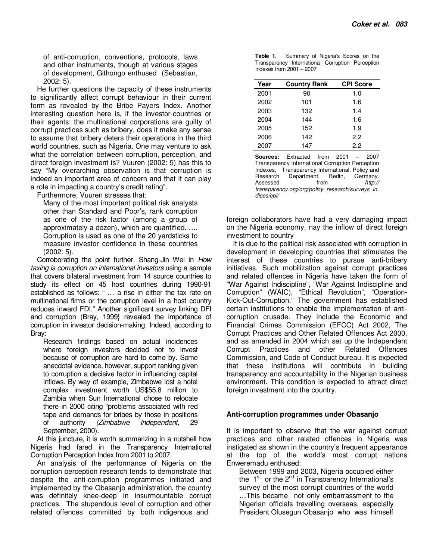of anti-corruption, conventions, protocols, laws and other instruments, though at various stages of development, Githongo enthused (Sebastian, 2002: 5).

He further questions the capacity of these instruments to significantly affect corrupt behaviour in their current form as revealed by the Bribe Payers Index. Another interesting question here is, if the investor-countries or their agents: the multinational corporations are guilty of corrupt practices such as bribery, does it make any sense to assume that bribery deters their operations in the third world countries, such as Nigeria. One may venture to ask what the correlation between corruption, perception, and direct foreign investment is? Vuuren (2002: 5) has this to say "My overarching observation is that corruption is indeed an important area of concern and that it can play a role in impacting a country's credit rating".

Furthermore, Vuuren stresses that:

Many of the most important political risk analysts other than Standard and Poor's, rank corruption as one of the risk factor (among a group of approximately a dozen), which are quantified. …. Corruption is used as one of the 20 yardsticks to measure investor confidence in these countries (2002: 5).

Corroborating the point further, Shang-Jin Wei in *How taxing is corruption on international investors* using a sample that covers bilateral investment from 14 source countries to study its effect on 45 host countries during 1990-91 established as follows: " … a rise in either the tax rate on multinational firms or the corruption level in a host country reduces inward FDI." Another significant survey linking DFI and corruption (Bray, 1999} revealed the importance of corruption in investor decision-making. Indeed, according to Bray:

Research findings based on actual incidences where foreign investors decided not to invest because of corruption are hard to come by. Some anecdotal evidence, however, support ranking given to corruption a decisive factor in influencing capital inflows. By way of example, Zimbabwe lost a hotel complex investment worth US\$55.8 million to Zambia when Sun International chose to relocate there in 2000 citing "problems associated with red tape and demands for bribes by those in positions of authority *(Zimbabwe Independent,* 29 September, 2000).

At this juncture, it is worth summarizing in a nutshell how Nigeria had fared in the Transparency International Corruption Perception Index from 2001 to 2007.

An analysis of the performance of Nigeria on the corruption perception research tends to demonstrate that despite the anti-corruption programmes initiated and implemented by the Obasanjo administration, the country was definitely knee-deep in insurmountable corrupt practices. The stupendous level of corruption and other related offences committed by both indigenous and

|                            | <b>Table 1.</b> Summary of Nigeria's Scores on the |  |  |
|----------------------------|----------------------------------------------------|--|--|
|                            | Transparency International Corruption Perception   |  |  |
| Indexes from $2001 - 2007$ |                                                    |  |  |

| Year | <b>Country Rank</b> | <b>CPI Score</b> |
|------|---------------------|------------------|
| 2001 | 90                  | 1.0              |
| 2002 | 101                 | 1.6              |
| 2003 | 132                 | 1.4              |
| 2004 | 144                 | 1.6              |
| 2005 | 152                 | 1.9              |
| 2006 | 142                 | 2.2              |
| 2007 | 147                 | 2.2              |

**Sources:** Extracted from 2001 – 2007 Transparency International Corruption Perception Indexes, Transparency International, Policy and Research Department. Berlin, Germany. Assessed from *http:// transparency.org/org/policy\_research/surveys\_in dices/cpi/*

foreign collaborators have had a very damaging impact on the Nigeria economy, nay the inflow of direct foreign investment to country

It is due to the political risk associated with corruption in development in developing countries that stimulates the interest of these countries to pursue anti-bribery initiatives. Such mobilization against corrupt practices and related offences in Nigeria have taken the form of "War Against Indiscipline", "War Against Indiscipline and Corruption" (WAIC), "Ethical Revolution", "Operation-Kick-Out-Corruption." The government has established certain institutions to enable the implementation of anticorruption crusade. They include the Economic and Financial Crimes Commission (EFCC) Act 2002, The Corrupt Practices and Other Related Offences Act 2000, and as amended in 2004 which set up the Independent Corrupt Practices and other Related Offences Commission, and Code of Conduct bureau. It is expected that these institutions will contribute in building transparency and accountability in the Nigerian business environment. This condition is expected to attract direct foreign investment into the country.

### **Anti-corruption programmes under Obasanjo**

It is important to observe that the war against corrupt practices and other related offences in Nigeria was instigated as shown in the country's frequent appearance at the top of the world's most corrupt nations Enweremadu enthused:

Between 1999 and 2003, Nigeria occupied either the  $1<sup>st</sup>$  or the  $2<sup>nd</sup>$  in Transparency International's survey of the most corrupt countries of the world …This became not only embarrassment to the Nigerian officials travelling overseas, especially President Olusegun Obasanjo who was himself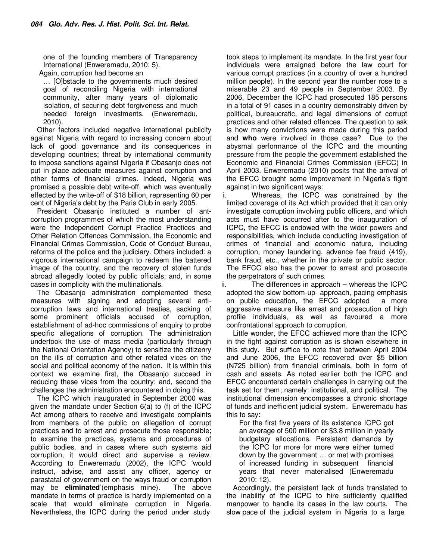one of the founding members of Transparency International (Enweremadu, 2010: 5). Again, corruption had become an

… [O]bstacle to the governments much desired goal of reconciling Nigeria with international community, after many years of diplomatic isolation, of securing debt forgiveness and much needed foreign investments. (Enweremadu, 2010).

Other factors included negative international publicity against Nigeria with regard to increasing concern about lack of good governance and its consequences in developing countries; threat by international community to impose sanctions against Nigeria if Obasanjo does not put in place adequate measures against corruption and other forms of financial crimes. Indeed, Nigeria was promised a possible debt write-off, which was eventually effected by the write-off of \$18 billion, representing 60 per cent of Nigeria's debt by the Paris Club in early 2005.

President Obasanjo instituted a number of antcorruption programmes of which the most understanding were the Independent Corrupt Practice Practices and Other Relation Offences Commission, the Economic and Financial Crimes Commission, Code of Conduct Bureau, reforms of the police and the judiciary. Others included: a vigorous international campaign to redeem the battered image of the country, and the recovery of stolen funds abroad allegedly looted by public officials; and, in some cases in complicity with the multinationals.

The Obasanjo administration complemented these measures with signing and adopting several anticorruption laws and international treaties, sacking of some prominent officials accused of corruption, establishment of ad-hoc commissions of enquiry to probe specific allegations of corruption. The administration undertook the use of mass media (particularly through the National Orientation Agency) to sensitize the citizenry on the ills of corruption and other related vices on the social and political economy of the nation. It is within this context we examine first, the Obasanjo succeed in reducing these vices from the country; and, second the challenges the administration encountered in doing this.

The ICPC which inaugurated in September 2000 was given the mandate under Section 6(a) to (f) of the ICPC Act among others to receive and investigate complaints from members of the public on allegation of corrupt practices and to arrest and prosecute those responsible; to examine the practices, systems and procedures of public bodies, and in cases where such systems aid corruption, it would direct and supervise a review. According to Enweremadu (2002), the ICPC 'would instruct, advise, and assist any officer, agency or parastatal of government on the ways fraud or corruption<br>mav be **eliminated**'(emphasis mine). The above may be **eliminated**'(emphasis mine). mandate in terms of practice is hardly implemented on a scale that would eliminate corruption in Nigeria. Nevertheless, the ICPC during the period under study

took steps to implement its mandate. In the first year four individuals were arraigned before the law court for various corrupt practices (in a country of over a hundred million people). In the second year the number rose to a miserable 23 and 49 people in September 2003. By 2006, December the ICPC had prosecuted 185 persons in a total of 91 cases in a country demonstrably driven by political, bureaucratic, and legal dimensions of corrupt practices and other related offences. The question to ask is how many convictions were made during this period and **who** were involved in those case? Due to the abysmal performance of the ICPC and the mounting pressure from the people the government established the Economic and Financial Crimes Commission (EFCC) in April 2003. Enweremadu (2010) posits that the arrival of the EFCC brought some improvement in Nigeria's fight against in two significant ways:

i. Whereas, the ICPC was constrained by the limited coverage of its Act which provided that it can only investigate corruption involving public officers, and which acts must have occurred after to the inauguration of ICPC, the EFCC is endowed with the wider powers and responsibilities, which include conducting investigation of crimes of financial and economic nature, including corruption, money laundering, advance fee fraud (419), bank fraud, etc., whether in the private or public sector. The EFCC also has the power to arrest and prosecute the perpetrators of such crimes.

ii. The differences in approach – whereas the ICPC adopted the slow bottom-up- approach, pacing emphasis on public education, the EFCC adopted a more aggressive measure like arrest and prosecution of high profile individuals, as well as favoured a more confrontational approach to corruption.

Little wonder, the EFCC achieved more than the ICPC in the fight against corruption as is shown elsewhere in this study. But suffice to note that between April 2004 and June 2006, the EFCC recovered over \$5 billion (N725 billion) from financial criminals, both in form of cash and assets. As noted earlier both the ICPC and EFCC encountered certain challenges in carrying out the task set for them; namely: institutional, and political. The institutional dimension encompasses a chronic shortage of funds and inefficient judicial system. Enweremadu has this to say:

For the first five years of its existence ICPC got an average of 500 million or \$3.8 million in yearly budgetary allocations. Persistent demands by the ICPC for more for more were either turned down by the government … or met with promises of increased funding in subsequent financial years that never materialised (Enweremadu 2010: 12).

Accordingly, the persistent lack of funds translated to the inability of the ICPC to hire sufficiently qualified manpower to handle its cases in the law courts. The slow pace of the judicial system in Nigeria to a large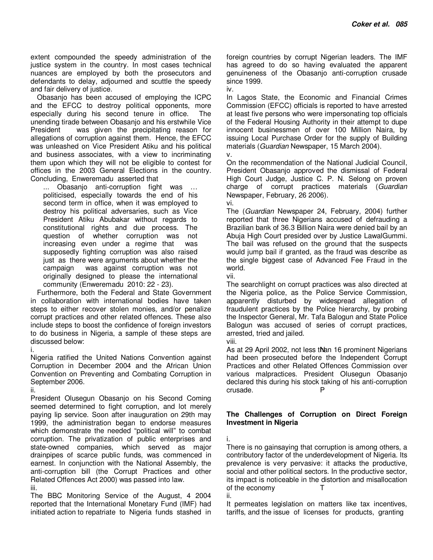extent compounded the speedy administration of the justice system in the country. In most cases technical nuances are employed by both the prosecutors and defendants to delay, adjourned and scuttle the speedy and fair delivery of justice.

Obasanjo has been accused of employing the ICPC and the EFCC to destroy political opponents, more especially during his second tenure in office. The unending tirade between Obasanjo and his erstwhile Vice President was given the precipitating reason for allegations of corruption against them. Hence, the EFCC was unleashed on Vice President Atiku and his political and business associates, with a view to incriminating them upon which they will not be eligible to contest for offices in the 2003 General Elections in the country. Concluding, Enweremadu asserted that

... Obasanjo anti-corruption fight was … politicised, especially towards the end of his second term in office, when it was employed to destroy his political adversaries, such as Vice President Atiku Abubakar without regards to constitutional rights and due process. The question of whether corruption was not increasing even under a regime that was supposedly fighting corruption was also raised just as there were arguments about whether the campaign was against corruption was not originally designed to please the international community (Enweremadu 2010: 22 - 23).

Furthermore, both the Federal and State Government in collaboration with international bodies have taken steps to either recover stolen monies, and/or penalize corrupt practices and other related offences. These also include steps to boost the confidence of foreign investors to do business in Nigeria, a sample of these steps are discussed below:

Nigeria ratified the United Nations Convention against Corruption in December 2004 and the African Union Convention on Preventing and Combating Corruption in September 2006.

President Olusegun Obasanjo on his Second Coming seemed determined to fight corruption, and lot merely paying lip service. Soon after inauguration on 29th may 1999, the administration began to endorse measures which demonstrate the needed "political will" to combat corruption. The privatization of public enterprises and state-owned companies, which served as major drainpipes of scarce public funds, was commenced in earnest. In conjunction with the National Assembly, the anti-corruption bill (the Corrupt Practices and other Related Offences Act 2000) was passed into law.

The BBC Monitoring Service of the August, 4 2004 reported that the International Monetary Fund (IMF) had initiated action to repatriate to Nigeria funds stashed in foreign countries by corrupt Nigerian leaders. The IMF has agreed to do so having evaluated the apparent genuineness of the Obasanjo anti-corruption crusade since 1999.

iv.

In Lagos State, the Economic and Financial Crimes Commission (EFCC) officials is reported to have arrested at least five persons who were impersonating top officials of the Federal Housing Authority in their attempt to dupe innocent businessmen of over 100 Million Naira, by issuing Local Purchase Order for the supply of Building materials (*Guardian* Newspaper, 15 March 2004). v.

On the recommendation of the National Judicial Council, President Obasanjo approved the dismissal of Federal High Court Judge, Justice C. P. N. Selong on proven charge of corrupt practices materials (*Guardian* Newspaper, February, 26 2006). vi.

The (*Guardian* Newspaper 24, February, 2004) further reported that three Nigerians accused of defrauding a Brazilian bank of 36.3 Billion Naira were denied bail by an Abuja High Court presided over by Justice LawalGummi. The bail was refused on the ground that the suspects would jump bail if granted, as the fraud was describe as the single biggest case of Advanced Fee Fraud in the world. vii.

The searchlight on corrupt practices was also directed at the Nigeria police, as the Police Service Commission, apparently disturbed by widespread allegation of fraudulent practices by the Police hierarchy, by probing the Inspector General, Mr. Tafa Balogun and State Police Balogun was accused of series of corrupt practices, arrested, tried and jailed.

viii.

i. Next and the state of the state of the state of the State of As at 29 April 2002, not less than 16 prominent Nigerians ii. P had been prosecuted before the Independent Corrupt Practices and other Related Offences Commission over various malpractices. President Olusegun Obasanjo declared this during his stock taking of his anti-corruption crusade.

## **The Challenges of Corruption on Direct Foreign Investment in Nigeria**

i.

iii. T of the economy There is no gainsaying that corruption is among others, a contributory factor of the underdevelopment of Nigeria. Its prevalence is very pervasive: it attacks the productive, social and other political sectors. In the productive sector, its impact is noticeable in the distortion and misallocation

ii.

It permeates legislation on matters like tax incentives, tariffs, and the issue of licenses for products, granting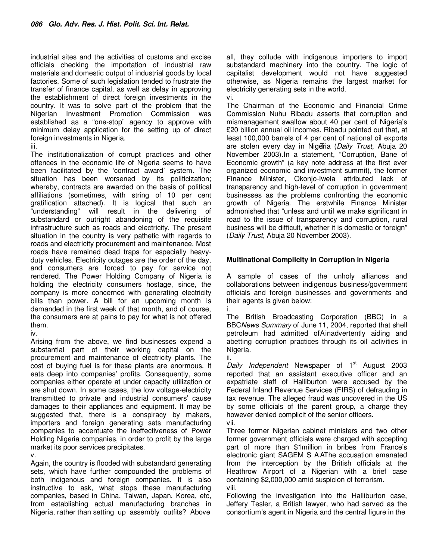industrial sites and the activities of customs and excise officials checking the importation of industrial raw materials and domestic output of industrial goods by local factories. Some of such legislation tended to frustrate the transfer of finance capital, as well as delay in approving the establishment of direct foreign investments in the country. It was to solve part of the problem that the Nigerian Investment Promotion Commission was established as a "one-stop" agency to approve with minimum delay application for the setting up of direct foreign investments in Nigeria.

The institutionalization of corrupt practices and other offences in the economic life of Nigeria seems to have been facilitated by the 'contract award' system. The situation has been worsened by its politicization; whereby, contracts are awarded on the basis of political affiliations (sometimes, with string of 10 per cent gratification attached). It is logical that such an "understanding" will result in the delivering of substandard or outright abandoning of the requisite infrastructure such as roads and electricity. The present situation in the country is very pathetic with regards to roads and electricity procurement and maintenance. Most roads have remained dead traps for especially heavyduty vehicles. Electricity outages are the order of the day, and consumers are forced to pay for service not rendered. The Power Holding Company of Nigeria is holding the electricity consumers hostage, since, the company is more concerned with generating electricity bills than power. A bill for an upcoming month is demanded in the first week of that month, and of course, the consumers are at pains to pay for what is not offered them.

Arising from the above, we find businesses expend a substantial part of their working capital on the procurement and maintenance of electricity plants. The cost of buying fuel is for these plants are enormous. It eats deep into companies' profits. Consequently, some companies either operate at under capacity utilization or are shut down. In some cases, the low voltage-electricity transmitted to private and industrial consumers' cause damages to their appliances and equipment. It may be suggested that, there is a conspiracy by makers, importers and foreign generating sets manufacturing companies to accentuate the ineffectiveness of Power Holding Nigeria companies, in order to profit by the large market its poor services precipitates.

Again, the country is flooded with substandard generating sets, which have further compounded the problems of both indigenous and foreign companies. It is also instructive to ask, what stops these manufacturing companies, based in China, Taiwan, Japan, Korea, etc, from establishing actual manufacturing branches in Nigeria, rather than setting up assembly outfits? Above

all, they collude with indigenous importers to import substandard machinery into the country. The logic of capitalist development would not have suggested otherwise, as Nigeria remains the largest market for electricity generating sets in the world. vi.

iii. T are stolen every day in Nigeria (*Daily Trust*, Abuja 20 The Chairman of the Economic and Financial Crime Commission Nuhu Ribadu asserts that corruption and mismanagement swallow about 40 per cent of Nigeria's £20 billion annual oil incomes. Ribadu pointed out that, at least 100,000 barrels of 4 per cent of national oil exports November 2003).In a statement, "Corruption, Bane of Economic growth" (a key note address at the first ever organized economic and investment summit), the former Finance Minister, Okonjo-Iwela attributed lack of transparency and high-level of corruption in government businesses as the problems confronting the economic growth of Nigeria. The erstwhile Finance Minister admonished that "unless and until we make significant in road to the issue of transparency and corruption, rural business will be difficult, whether it is domestic or foreign" (*Daily Trust*, Abuja 20 November 2003).

### **Multinational Complicity in Corruption in Nigeria**

A sample of cases of the unholy alliances and collaborations between indigenous business/government officials and foreign businesses and governments and their agents is given below:

i.

iv. A petroleum had admitted of inadvertently aiding and The British Broadcasting Corporation (BBC) in a BBC*News Summary* of June 11, 2004, reported that shell abetting corruption practices through its oil activities in Nigeria.

ii. Daily Independent Newspaper of 1<sup>st</sup> August 2003 reported that an assistant executive officer and an expatriate staff of Halliburton were accused by the Federal Inland Revenue Services (FIRS) of defrauding in tax revenue. The alleged fraud was uncovered in the US by some officials of the parent group, a charge they however denied complicit of the senior officers. vii.

v. And the state of the setter of the setter of the setter of the setter of the setter of the setter of the setter of the setter of the setter of the setter of the setter of the setter of the setter of the setter of the se Three former Nigerian cabinet ministers and two other former government officials were charged with accepting part of more than \$1million in bribes from France's from the interception by the British officials at the Heathrow Airport of a Nigerian with a brief case containing \$2,000,000 amid suspicion of terrorism. viii.

> Following the investigation into the Halliburton case, Jeffery Tesler, a British lawyer, who had served as the consortium's agent in Nigeria and the central figure in the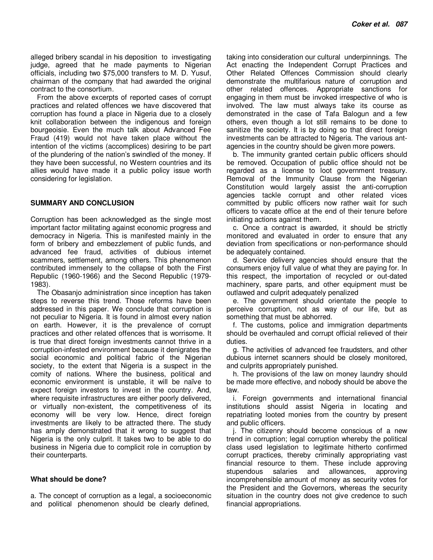alleged bribery scandal in his deposition to investigating judge, agreed that he made payments to Nigerian officials, including two \$75,000 transfers to M. D. Yusuf, chairman of the company that had awarded the original contract to the consortium.

From the above excerpts of reported cases of corrupt practices and related offences we have discovered that corruption has found a place in Nigeria due to a closely knit collaboration between the indigenous and foreign bourgeoisie. Even the much talk about Advanced Fee Fraud (419) would not have taken place without the intention of the victims (accomplices) desiring to be part of the plundering of the nation's swindled of the money. If they have been successful, no Western countries and its allies would have made it a public policy issue worth considering for legislation.

### **SUMMARY AND CONCLUSION**

Corruption has been acknowledged as the single most important factor militating against economic progress and democracy in Nigeria. This is manifested mainly in the form of bribery and embezzlement of public funds, and advanced fee fraud, activities of dubious internet scammers, settlement, among others. This phenomenon contributed immensely to the collapse of both the First Republic (1960-1966) and the Second Republic (1979- 1983).

The Obasanjo administration since inception has taken steps to reverse this trend. Those reforms have been addressed in this paper. We conclude that corruption is not peculiar to Nigeria. It is found in almost every nation on earth. However, it is the prevalence of corrupt practices and other related offences that is worrisome. It is true that direct foreign investments cannot thrive in a corruption-infested environment because it denigrates the social economic and political fabric of the Nigerian society, to the extent that Nigeria is a suspect in the comity of nations. Where the business, political and economic environment is unstable, it will be naïve to expect foreign investors to invest in the country. And, where requisite infrastructures are either poorly delivered, or virtually non-existent, the competitiveness of its economy will be very low. Hence, direct foreign investments are likely to be attracted there. The study has amply demonstrated that it wrong to suggest that Nigeria is the only culprit. It takes two to be able to do business in Nigeria due to complicit role in corruption by their counterparts.

### **What should be done?**

a. The concept of corruption as a legal, a socioeconomic and political phenomenon should be clearly defined,

taking into consideration our cultural underpinnings. The Act enacting the Independent Corrupt Practices and Other Related Offences Commission should clearly demonstrate the multifarious nature of corruption and other related offences. Appropriate sanctions for engaging in them must be invoked irrespective of who is involved. The law must always take its course as demonstrated in the case of Tafa Balogun and a few others, even though a lot still remains to be done to sanitize the society. It is by doing so that direct foreign investments can be attracted to Nigeria. The various antagencies in the country should be given more powers.

b. The immunity granted certain public officers should be removed. Occupation of public office should not be regarded as a license to loot government treasury. Removal of the Immunity Clause from the Nigerian Constitution would largely assist the anti-corruption agencies tackle corrupt and other related vices committed by public officers now rather wait for such officers to vacate office at the end of their tenure before initiating actions against them.

c. Once a contract is awarded, it should be strictly monitored and evaluated in order to ensure that any deviation from specifications or non-performance should be adequately contained.

d. Service delivery agencies should ensure that the consumers enjoy full value of what they are paying for. In this respect, the importation of recycled or out-dated machinery, spare parts, and other equipment must be outlawed and culprit adequately penalized

e. The government should orientate the people to perceive corruption, not as way of our life, but as something that must be abhorred.

f. The customs, police and immigration departments should be overhauled and corrupt official relieved of their duties.

g. The activities of advanced fee fraudsters, and other dubious internet scanners should be closely monitored, and culprits appropriately punished.

h. The provisions of the law on money laundry should be made more effective, and nobody should be above the law.

i. Foreign governments and international financial institutions should assist Nigeria in locating and repatriating looted monies from the country by present and public officers.

j. The citizenry should become conscious of a new trend in corruption; legal corruption whereby the political class used legislation to legitimate hitherto confirmed corrupt practices, thereby criminally appropriating vast financial resource to them. These include approving stupendous salaries and allowances, approving incomprehensible amount of money as security votes for the President and the Governors, whereas the security situation in the country does not give credence to such financial appropriations.